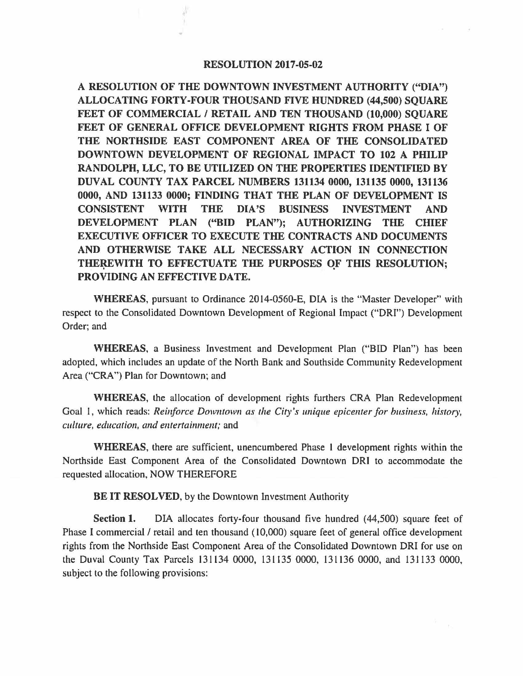## RESOLUTION 2017-05-02

A RESOLUTION OF THE DOWNTOWN INVESTMENT AUTHORITY ("DIA") ALLOCATING FORTY-FOUR THOUSAND FIVE HUNDRED (44,500) SQUARE FEET OF COMMERCIAL / RETAIL AND TEN THOUSAND (10,000) SOUARE FEET OF GENERAL OFFICE DEVELOPMENT RIGHTS FROM PHASE I OF THE NORTHSIDE EAST COMPONENT AREA OF THE CONSOLIDATED DOWNTOWN DEVELOPMENT OF REGIONAL IMPACT TO 102 A **PHILIP RANDOLPH, LLC, TO BE UTILIZED ON THE PROPERTIES IDENTIFIED BY DUVAL COUNTY TAX PARCEL NUMBERS 131134 0000, 131135 0000, 131136 0000, AND 131133 0000; FINDING THAT THE PLAN OF DEVELOPMENT IS CONSISTENT WITH THE DIA'S BUSINESS INVESTMENT AND DEVELOPMENT PLAN ("BID PLAN"): AUTHORIZING THE CHIEF EXECUTIVE OFFICER TO EXECUTE THE CONTRACTS AND DOCUMENTS AND OTHERWISE TAKE ALL NECESSARY ACTION IN CONNECTION THEREWITH** . **TO EFFECTUATE THE PURPOSES OF** . **THIS RESOLUTION;**  PROVIDING AN EFFECTIVE DATE.

**WHEREAS,** pursuant to Ordinance 2014-0560-E, DIA is the "Master Developer" with respect to the Consolidated Downtown Development of Regional Impact **("ORI'')** Development Order; and

**WHEREAS,** a Business Investment and Development Plan ("BID Plan") has been adopted, which includes an update of the North Bank and Southside Community Redevelopment Area ("CRA") Plan for Downtown; and

**WHEREAS,** the allocation of development rights furthers CRA Plan Redevelopment Goal 1, which reads: *Reinforce Downtown as the City's unique epicenter for business, history, culture, education, and entertainment; and* 

**WHEREAS,** there are sufficient, unencumbered Phase l development rights within the Northside East Component Area of the Consolidated Downtown ORI to accommodate the requested allocation, NOW THEREFORE

**BE IT RESOLVED,** by the Downtown Investment Authority

Section **1.** DIA allocates forty-four thousand five hundred (44,500) square feet of Phase I commercial / retail and ten thousand (10,000) square feet of general office development rights from the Northside East Component Area of the Consolidated Downtown ORI for use on the Duval County Tax Parcels 131134 0000, 131135 0000, 131136 0000, and 131133 0000, subject to the following provisions: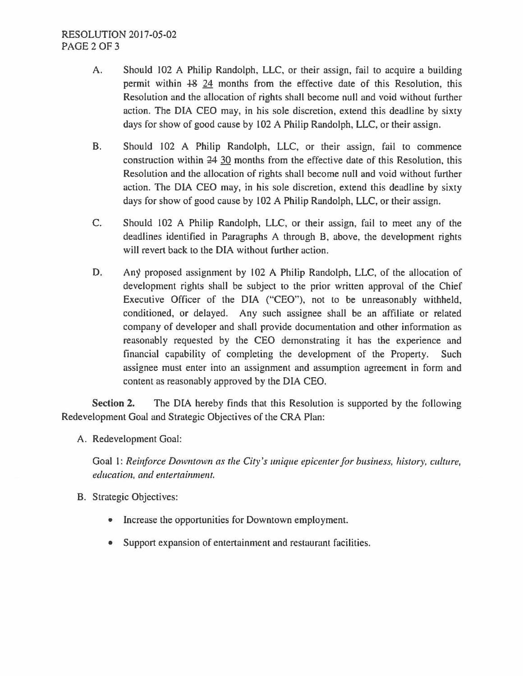- A. Should 102 A Philip Randolph, LLC, or their assign, fail to acquire a building permit within +& 24 months from the effective date of this Resolution, this Resolution and the allocation of rights shall become null and void without further action. The DIA CEO may, in his sole discretion, extend this deadline by sixty days for show of good cause by 102 A Philip Randolph, LLC, or their assign.
- B. Should 102 A Philip Randolph, LLC, or their assign, fail to commence construction within  $24$  30 months from the effective date of this Resolution, this Resolution and the allocation of rights shall become null and void without further action. The DIA CEO may, in his sole discretion, extend this deadline by sixty days for show of good cause by 102 A Philip Randolph, LLC, or their assign.
- C. Should 102 A Philip Randolph, LLC, or their assign, fail to meet any of the deadlines identified in Paragraphs A through B, above, the development rights will revert back to the DIA without further action.
- D. Any proposed assignment by 102 A Philip Randolph, LLC, of the allocation of development rights shall be subject to the prior written approval of the Chief Executive Officer of the DIA ("CEO"), not to be unreasonably withheld, conditioned, or delayed. Any such assignee shall be an affiliate or related company of developer and shall provide documentation and other information as reasonably requested by the CEO demonstrating it has the experience and financial capability of completing the development of the Property. Such assignee must enter into an assignment and assumption agreement in form and content as reasonably approved by the DIA CEO.

**Section 2.** The DIA hereby finds that this Resolution is supported by the following Redevelopment Goal and Strategic Objectives of the CRA Plan:

A. Redevelopment Goal:

Goal I: *Reinforce Downtown as the City 's unique epicenter for business, history, culture, education, and entertainment.* 

- B. Strategic Objectives:
	- Increase the opportunities for Downtown employment.
	- Support expansion of entertainment and restaurant facilities.